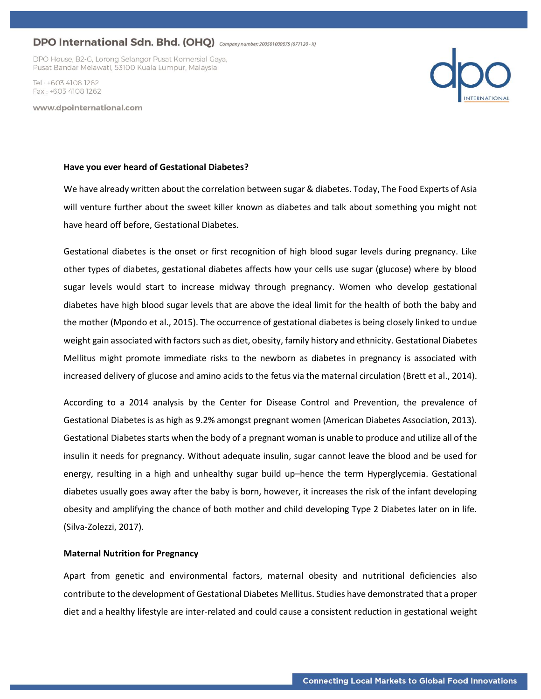DPO House, B2-G, Lorong Selangor Pusat Komersial Gaya, Pusat Bandar Melawati, 53100 Kuala Lumpur, Malaysia

Tel · +603 4108 1282 Fax: +603 4108 1262

www.dpointernational.com



#### **Have you ever heard of Gestational Diabetes?**

We have already written about the correlation between sugar & diabetes. Today, The Food Experts of Asia will venture further about the sweet killer known as diabetes and talk about something you might not have heard off before, Gestational Diabetes.

Gestational diabetes is the onset or first recognition of high blood sugar levels during pregnancy. Like other types of diabetes, gestational diabetes affects how your cells use sugar (glucose) where by blood sugar levels would start to increase midway through pregnancy. Women who develop gestational diabetes have high blood sugar levels that are above the ideal limit for the health of both the baby and the mother (Mpondo et al., 2015). The occurrence of gestational diabetes is being closely linked to undue weight gain associated with factors such as diet, obesity, family history and ethnicity. Gestational Diabetes Mellitus might promote immediate risks to the newborn as diabetes in pregnancy is associated with increased delivery of glucose and amino acids to the fetus via the maternal circulation (Brett et al., 2014).

According to a 2014 analysis by the Center for Disease Control and Prevention, the prevalence of Gestational Diabetes is as high as 9.2% amongst pregnant women (American Diabetes Association, 2013). Gestational Diabetes starts when the body of a pregnant woman is unable to produce and utilize all of the insulin it needs for pregnancy. Without adequate insulin, sugar cannot leave the blood and be used for energy, resulting in a high and unhealthy sugar build up–hence the term Hyperglycemia. Gestational diabetes usually goes away after the baby is born, however, it increases the risk of the infant developing obesity and amplifying the chance of both mother and child developing Type 2 Diabetes later on in life. (Silva-Zolezzi, 2017).

### **Maternal Nutrition for Pregnancy**

Apart from genetic and environmental factors, maternal obesity and nutritional deficiencies also contribute to the development of Gestational Diabetes Mellitus. Studies have demonstrated that a proper diet and a healthy lifestyle are inter-related and could cause a consistent reduction in gestational weight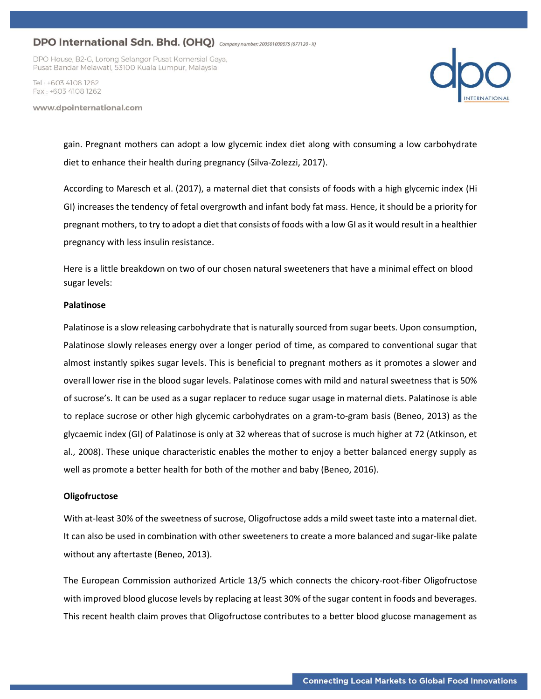DPO House, B2-G, Lorong Selangor Pusat Komersial Gaya, Pusat Bandar Melawati, 53100 Kuala Lumpur, Malaysia

Tel · +603 4108 1282 Fax: +603 4108 1262

www.dpointernational.com



gain. Pregnant mothers can adopt a low glycemic index diet along with consuming a low carbohydrate diet to enhance their health during pregnancy (Silva-Zolezzi, 2017).

According to Maresch et al. (2017), a maternal diet that consists of foods with a high glycemic index (Hi GI) increases the tendency of fetal overgrowth and infant body fat mass. Hence, it should be a priority for pregnant mothers, to try to adopt a diet that consists of foods with a low GI as it would result in a healthier pregnancy with less insulin resistance.

Here is a little breakdown on two of our chosen natural sweeteners that have a minimal effect on blood sugar levels:

#### **Palatinose**

Palatinose is a slow releasing carbohydrate that is naturally sourced from sugar beets. Upon consumption, Palatinose slowly releases energy over a longer period of time, as compared to conventional sugar that almost instantly spikes sugar levels. This is beneficial to pregnant mothers as it promotes a slower and overall lower rise in the blood sugar levels. Palatinose comes with mild and natural sweetness that is 50% of sucrose's. It can be used as a sugar replacer to reduce sugar usage in maternal diets. Palatinose is able to replace sucrose or other high glycemic carbohydrates on a gram-to-gram basis (Beneo, 2013) as the glycaemic index (GI) of Palatinose is only at 32 whereas that of sucrose is much higher at 72 (Atkinson, et al., 2008). These unique characteristic enables the mother to enjoy a better balanced energy supply as well as promote a better health for both of the mother and baby (Beneo, 2016).

### **Oligofructose**

With at-least 30% of the sweetness of sucrose, Oligofructose adds a mild sweet taste into a maternal diet. It can also be used in combination with other sweeteners to create a more balanced and sugar-like palate without any aftertaste (Beneo, 2013).

The European Commission authorized Article 13/5 which connects the chicory-root-fiber Oligofructose with improved blood glucose levels by replacing at least 30% of the sugar content in foods and beverages. This recent health claim proves that Oligofructose contributes to a better blood glucose management as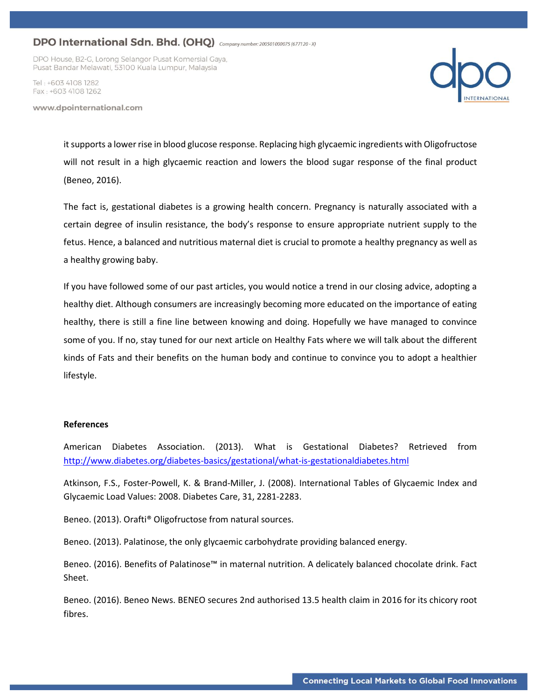DPO House, B2-G, Lorong Selangor Pusat Komersial Gaya, Pusat Bandar Melawati, 53100 Kuala Lumpur, Malaysia

Tel · +603 4108 1282 Fax: +603 4108 1262

www.dpointernational.com



it supports a lower rise in blood glucose response. Replacing high glycaemic ingredients with Oligofructose will not result in a high glycaemic reaction and lowers the blood sugar response of the final product (Beneo, 2016).

The fact is, gestational diabetes is a growing health concern. Pregnancy is naturally associated with a certain degree of insulin resistance, the body's response to ensure appropriate nutrient supply to the fetus. Hence, a balanced and nutritious maternal diet is crucial to promote a healthy pregnancy as well as a healthy growing baby.

If you have followed some of our past articles, you would notice a trend in our closing advice, adopting a healthy diet. Although consumers are increasingly becoming more educated on the importance of eating healthy, there is still a fine line between knowing and doing. Hopefully we have managed to convince some of you. If no, stay tuned for our next article on Healthy Fats where we will talk about the different kinds of Fats and their benefits on the human body and continue to convince you to adopt a healthier lifestyle.

### **References**

American Diabetes Association. (2013). What is Gestational Diabetes? Retrieved from <http://www.diabetes.org/diabetes-basics/gestational/what-is-gestationaldiabetes.html>

Atkinson, F.S., Foster-Powell, K. & Brand-Miller, J. (2008). International Tables of Glycaemic Index and Glycaemic Load Values: 2008. Diabetes Care, 31, 2281-2283.

Beneo. (2013). Orafti® Oligofructose from natural sources.

Beneo. (2013). Palatinose, the only glycaemic carbohydrate providing balanced energy.

Beneo. (2016). Benefits of Palatinose™ in maternal nutrition. A delicately balanced chocolate drink. Fact Sheet.

Beneo. (2016). Beneo News. BENEO secures 2nd authorised 13.5 health claim in 2016 for its chicory root fibres.